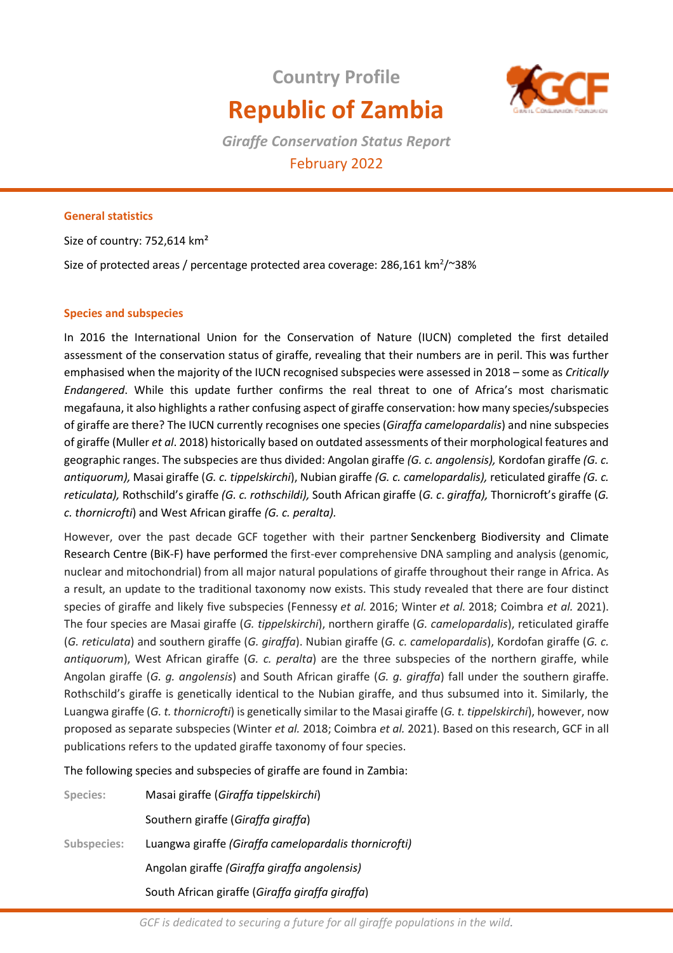# **Country Profile Republic of Zambia**



*Giraffe Conservation Status Report*  February 2022

## **General statistics**

Size of country: 752,614 km²

Size of protected areas / percentage protected area coverage: 286,161 km<sup>2</sup>/~38%

## **Species and subspecies**

In 2016 the International Union for the Conservation of Nature (IUCN) completed the first detailed assessment of the conservation status of giraffe, revealing that their numbers are in peril. This was further emphasised when the majority of the IUCN recognised subspecies were assessed in 2018 – some as *Critically Endangered*. While this update further confirms the real threat to one of Africa's most charismatic megafauna, it also highlights a rather confusing aspect of giraffe conservation: how many species/subspecies of giraffe are there? The IUCN currently recognises one species (*Giraffa camelopardalis*) and nine subspecies of giraffe (Muller *et al*. 2018) historically based on outdated assessments of their morphological features and geographic ranges. The subspecies are thus divided: Angolan giraffe *(G. c. angolensis),* Kordofan giraffe *(G. c. antiquorum),* Masai giraffe (*G. c. tippelskirchi*), Nubian giraffe *(G. c. camelopardalis),* reticulated giraffe *(G. c. reticulata),* Rothschild's giraffe *(G. c. rothschildi),* South African giraffe (*G. c*. *giraffa),* Thornicroft's giraffe (*G. c. thornicrofti*) and West African giraffe *(G. c. peralta).* 

However, over the past decade GCF together with their partner Senckenberg Biodiversity and Climate Research Centre (BiK-F) have performed the first-ever comprehensive DNA sampling and analysis (genomic, nuclear and mitochondrial) from all major natural populations of giraffe throughout their range in Africa. As a result, an update to the traditional taxonomy now exists. This study revealed that there are four distinct species of giraffe and likely five subspecies (Fennessy *et al.* 2016; Winter *et al.* 2018; Coimbra *et al.* 2021). The four species are Masai giraffe (*G. tippelskirchi*), northern giraffe (*G. camelopardalis*), reticulated giraffe (*G. reticulata*) and southern giraffe (*G. giraffa*). Nubian giraffe (*G. c. camelopardalis*), Kordofan giraffe (*G. c. antiquorum*), West African giraffe (*G. c. peralta*) are the three subspecies of the northern giraffe, while Angolan giraffe (*G. g. angolensis*) and South African giraffe (*G. g. giraffa*) fall under the southern giraffe. Rothschild's giraffe is genetically identical to the Nubian giraffe, and thus subsumed into it. Similarly, the Luangwa giraffe (*G. t. thornicrofti*) is genetically similar to the Masai giraffe (*G. t. tippelskirchi*), however, now proposed as separate subspecies (Winter *et al.* 2018; Coimbra *et al.* 2021). Based on this research, GCF in all publications refers to the updated giraffe taxonomy of four species.

The following species and subspecies of giraffe are found in Zambia:

| Species:           | Masai giraffe (Giraffa tippelskirchi)                 |
|--------------------|-------------------------------------------------------|
|                    | Southern giraffe (Giraffa giraffa)                    |
| <b>Subspecies:</b> | Luangwa giraffe (Giraffa camelopardalis thornicrofti) |
|                    | Angolan giraffe (Giraffa giraffa angolensis)          |
|                    | South African giraffe (Giraffa giraffa giraffa)       |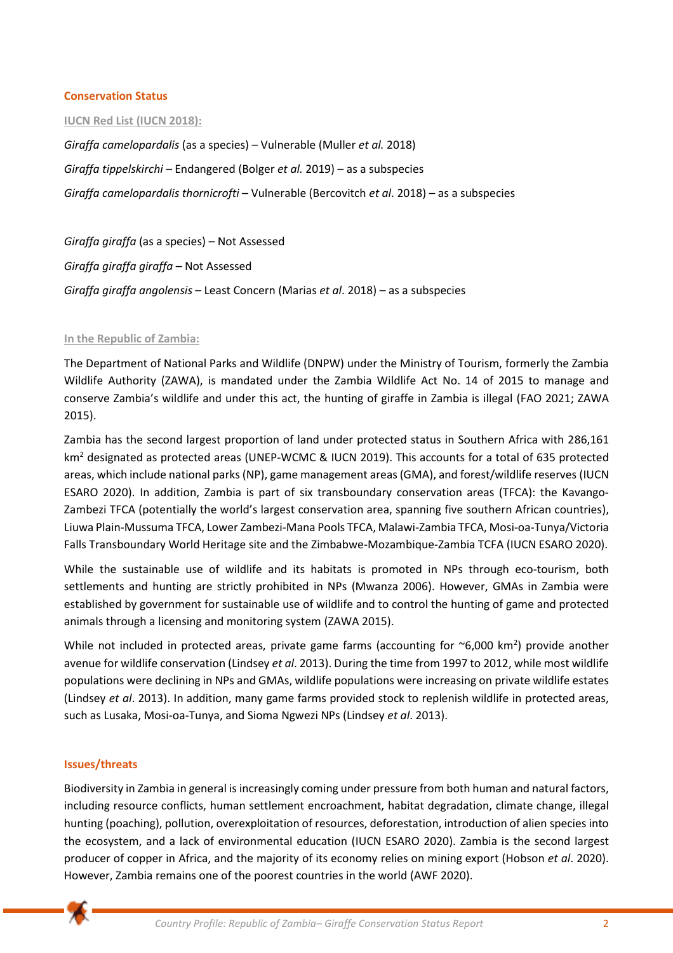#### **Conservation Status**

#### **IUCN Red List (IUCN 2018):**

*Giraffa camelopardalis* (as a species) – Vulnerable (Muller *et al.* 2018) *Giraffa tippelskirchi* – Endangered (Bolger *et al.* 2019) – as a subspecies *Giraffa camelopardalis thornicrofti –* Vulnerable (Bercovitch *et al*. 2018) – as a subspecies

*Giraffa giraffa* (as a species) – Not Assessed *Giraffa giraffa giraffa* – Not Assessed *Giraffa giraffa angolensis* – Least Concern (Marias *et al*. 2018) – as a subspecies

#### **In the Republic of Zambia:**

The Department of National Parks and Wildlife (DNPW) under the Ministry of Tourism, formerly the Zambia Wildlife Authority (ZAWA), is mandated under the Zambia Wildlife Act No. 14 of 2015 to manage and conserve Zambia's wildlife and under this act, the hunting of giraffe in Zambia is illegal (FAO 2021; ZAWA 2015).

Zambia has the second largest proportion of land under protected status in Southern Africa with 286,161 km<sup>2</sup> designated as protected areas (UNEP-WCMC & IUCN 2019). This accounts for a total of 635 protected areas, which include national parks (NP), game management areas (GMA), and forest/wildlife reserves (IUCN ESARO 2020). In addition, Zambia is part of six transboundary conservation areas (TFCA): the Kavango-Zambezi TFCA (potentially the world's largest conservation area, spanning five southern African countries), Liuwa Plain-Mussuma TFCA, Lower Zambezi-Mana Pools TFCA, Malawi-Zambia TFCA, Mosi-oa-Tunya/Victoria Falls Transboundary World Heritage site and the Zimbabwe-Mozambique-Zambia TCFA (IUCN ESARO 2020).

While the sustainable use of wildlife and its habitats is promoted in NPs through eco-tourism, both settlements and hunting are strictly prohibited in NPs (Mwanza 2006). However, GMAs in Zambia were established by government for sustainable use of wildlife and to control the hunting of game and protected animals through a licensing and monitoring system (ZAWA 2015).

While not included in protected areas, private game farms (accounting for  $\sim$ 6,000 km<sup>2</sup>) provide another avenue for wildlife conservation (Lindsey *et al*. 2013). During the time from 1997 to 2012, while most wildlife populations were declining in NPs and GMAs, wildlife populations were increasing on private wildlife estates (Lindsey *et al*. 2013). In addition, many game farms provided stock to replenish wildlife in protected areas, such as Lusaka, Mosi-oa-Tunya, and Sioma Ngwezi NPs (Lindsey *et al*. 2013).

#### **Issues/threats**

Biodiversity in Zambia in general is increasingly coming under pressure from both human and natural factors, including resource conflicts, human settlement encroachment, habitat degradation, climate change, illegal hunting (poaching), pollution, overexploitation of resources, deforestation, introduction of alien species into the ecosystem, and a lack of environmental education (IUCN ESARO 2020). Zambia is the second largest producer of copper in Africa, and the majority of its economy relies on mining export (Hobson *et al*. 2020). However, Zambia remains one of the poorest countries in the world (AWF 2020).

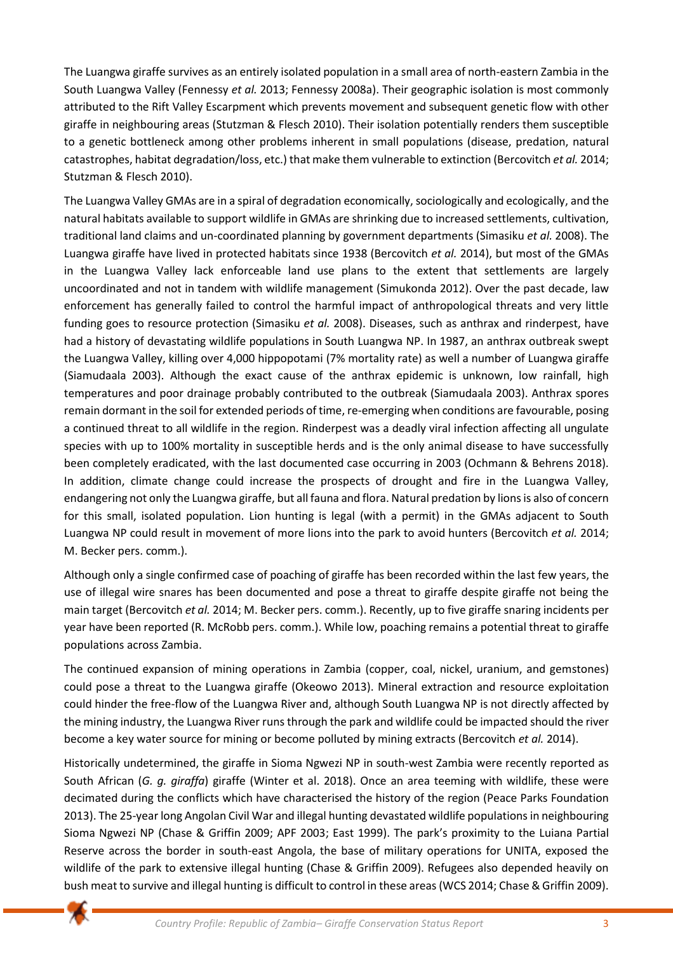The Luangwa giraffe survives as an entirely isolated population in a small area of north-eastern Zambia in the South Luangwa Valley (Fennessy *et al.* 2013; Fennessy 2008a). Their geographic isolation is most commonly attributed to the Rift Valley Escarpment which prevents movement and subsequent genetic flow with other giraffe in neighbouring areas (Stutzman & Flesch 2010). Their isolation potentially renders them susceptible to a genetic bottleneck among other problems inherent in small populations (disease, predation, natural catastrophes, habitat degradation/loss, etc.) that make them vulnerable to extinction (Bercovitch *et al.* 2014; Stutzman & Flesch 2010).

The Luangwa Valley GMAs are in a spiral of degradation economically, sociologically and ecologically, and the natural habitats available to support wildlife in GMAs are shrinking due to increased settlements, cultivation, traditional land claims and un-coordinated planning by government departments (Simasiku *et al.* 2008). The Luangwa giraffe have lived in protected habitats since 1938 (Bercovitch *et al.* 2014), but most of the GMAs in the Luangwa Valley lack enforceable land use plans to the extent that settlements are largely uncoordinated and not in tandem with wildlife management (Simukonda 2012). Over the past decade, law enforcement has generally failed to control the harmful impact of anthropological threats and very little funding goes to resource protection (Simasiku *et al.* 2008). Diseases, such as anthrax and rinderpest, have had a history of devastating wildlife populations in South Luangwa NP. In 1987, an anthrax outbreak swept the Luangwa Valley, killing over 4,000 hippopotami (7% mortality rate) as well a number of Luangwa giraffe (Siamudaala 2003). Although the exact cause of the anthrax epidemic is unknown, low rainfall, high temperatures and poor drainage probably contributed to the outbreak (Siamudaala 2003). Anthrax spores remain dormant in the soil for extended periods of time, re-emerging when conditions are favourable, posing a continued threat to all wildlife in the region. Rinderpest was a deadly viral infection affecting all ungulate species with up to 100% mortality in susceptible herds and is the only animal disease to have successfully been completely eradicated, with the last documented case occurring in 2003 (Ochmann & Behrens 2018). In addition, climate change could increase the prospects of drought and fire in the Luangwa Valley, endangering not only the Luangwa giraffe, but all fauna and flora. Natural predation by lions is also of concern for this small, isolated population. Lion hunting is legal (with a permit) in the GMAs adjacent to South Luangwa NP could result in movement of more lions into the park to avoid hunters (Bercovitch *et al.* 2014; M. Becker pers. comm.).

Although only a single confirmed case of poaching of giraffe has been recorded within the last few years, the use of illegal wire snares has been documented and pose a threat to giraffe despite giraffe not being the main target (Bercovitch *et al.* 2014; M. Becker pers. comm.). Recently, up to five giraffe snaring incidents per year have been reported (R. McRobb pers. comm.). While low, poaching remains a potential threat to giraffe populations across Zambia.

The continued expansion of mining operations in Zambia (copper, coal, nickel, uranium, and gemstones) could pose a threat to the Luangwa giraffe (Okeowo 2013). Mineral extraction and resource exploitation could hinder the free-flow of the Luangwa River and, although South Luangwa NP is not directly affected by the mining industry, the Luangwa River runs through the park and wildlife could be impacted should the river become a key water source for mining or become polluted by mining extracts (Bercovitch *et al.* 2014).

Historically undetermined, the giraffe in Sioma Ngwezi NP in south-west Zambia were recently reported as South African (*G. g. giraffa*) giraffe (Winter et al. 2018). Once an area teeming with wildlife, these were decimated during the conflicts which have characterised the history of the region (Peace Parks Foundation 2013). The 25-year long Angolan Civil War and illegal hunting devastated wildlife populations in neighbouring Sioma Ngwezi NP (Chase & Griffin 2009; APF 2003; East 1999). The park's proximity to the Luiana Partial Reserve across the border in south-east Angola, the base of military operations for UNITA, exposed the wildlife of the park to extensive illegal hunting (Chase & Griffin 2009). Refugees also depended heavily on bush meat to survive and illegal hunting is difficult to control in these areas (WCS 2014; Chase & Griffin 2009).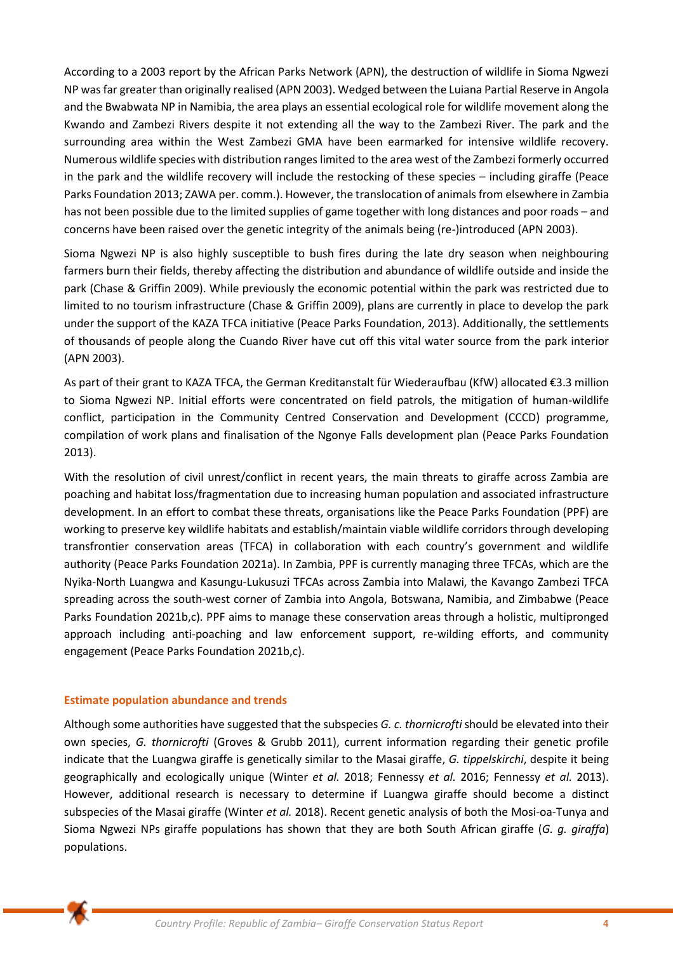According to a 2003 report by the African Parks Network (APN), the destruction of wildlife in Sioma Ngwezi NP was far greater than originally realised (APN 2003). Wedged between the Luiana Partial Reserve in Angola and the Bwabwata NP in Namibia, the area plays an essential ecological role for wildlife movement along the Kwando and Zambezi Rivers despite it not extending all the way to the Zambezi River. The park and the surrounding area within the West Zambezi GMA have been earmarked for intensive wildlife recovery. Numerous wildlife species with distribution ranges limited to the area west of the Zambezi formerly occurred in the park and the wildlife recovery will include the restocking of these species – including giraffe (Peace Parks Foundation 2013; ZAWA per. comm.). However, the translocation of animals from elsewhere in Zambia has not been possible due to the limited supplies of game together with long distances and poor roads – and concerns have been raised over the genetic integrity of the animals being (re-)introduced (APN 2003).

Sioma Ngwezi NP is also highly susceptible to bush fires during the late dry season when neighbouring farmers burn their fields, thereby affecting the distribution and abundance of wildlife outside and inside the park (Chase & Griffin 2009). While previously the economic potential within the park was restricted due to limited to no tourism infrastructure (Chase & Griffin 2009), plans are currently in place to develop the park under the support of the KAZA TFCA initiative (Peace Parks Foundation, 2013). Additionally, the settlements of thousands of people along the Cuando River have cut off this vital water source from the park interior (APN 2003).

As part of their grant to KAZA TFCA, the German Kreditanstalt für Wiederaufbau (KfW) allocated €3.3 million to Sioma Ngwezi NP. Initial efforts were concentrated on field patrols, the mitigation of human-wildlife conflict, participation in the Community Centred Conservation and Development (CCCD) programme, compilation of work plans and finalisation of the Ngonye Falls development plan (Peace Parks Foundation 2013).

With the resolution of civil unrest/conflict in recent years, the main threats to giraffe across Zambia are poaching and habitat loss/fragmentation due to increasing human population and associated infrastructure development. In an effort to combat these threats, organisations like the Peace Parks Foundation (PPF) are working to preserve key wildlife habitats and establish/maintain viable wildlife corridors through developing transfrontier conservation areas (TFCA) in collaboration with each country's government and wildlife authority (Peace Parks Foundation 2021a). In Zambia, PPF is currently managing three TFCAs, which are the Nyika-North Luangwa and Kasungu-Lukusuzi TFCAs across Zambia into Malawi, the Kavango Zambezi TFCA spreading across the south-west corner of Zambia into Angola, Botswana, Namibia, and Zimbabwe (Peace Parks Foundation 2021b,c). PPF aims to manage these conservation areas through a holistic, multipronged approach including anti-poaching and law enforcement support, re-wilding efforts, and community engagement (Peace Parks Foundation 2021b,c).

#### **Estimate population abundance and trends**

Although some authorities have suggested that the subspecies *G. c. thornicrofti* should be elevated into their own species, *G. thornicrofti* (Groves & Grubb 2011), current information regarding their genetic profile indicate that the Luangwa giraffe is genetically similar to the Masai giraffe, *G. tippelskirchi*, despite it being geographically and ecologically unique (Winter *et al.* 2018; Fennessy *et al.* 2016; Fennessy *et al.* 2013). However, additional research is necessary to determine if Luangwa giraffe should become a distinct subspecies of the Masai giraffe (Winter *et al.* 2018). Recent genetic analysis of both the Mosi-oa-Tunya and Sioma Ngwezi NPs giraffe populations has shown that they are both South African giraffe (*G. g. giraffa*) populations.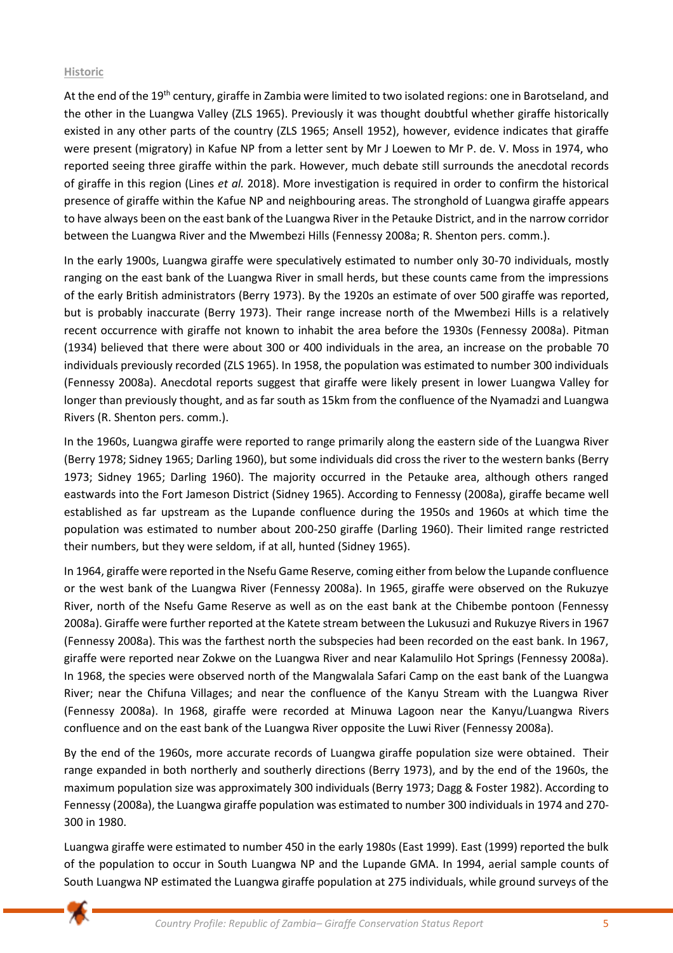## **Historic**

At the end of the 19<sup>th</sup> century, giraffe in Zambia were limited to two isolated regions: one in Barotseland, and the other in the Luangwa Valley (ZLS 1965). Previously it was thought doubtful whether giraffe historically existed in any other parts of the country (ZLS 1965; Ansell 1952), however, evidence indicates that giraffe were present (migratory) in Kafue NP from a letter sent by Mr J Loewen to Mr P. de. V. Moss in 1974, who reported seeing three giraffe within the park. However, much debate still surrounds the anecdotal records of giraffe in this region (Lines *et al.* 2018). More investigation is required in order to confirm the historical presence of giraffe within the Kafue NP and neighbouring areas. The stronghold of Luangwa giraffe appears to have always been on the east bank of the Luangwa River in the Petauke District, and in the narrow corridor between the Luangwa River and the Mwembezi Hills (Fennessy 2008a; R. Shenton pers. comm.).

In the early 1900s, Luangwa giraffe were speculatively estimated to number only 30-70 individuals, mostly ranging on the east bank of the Luangwa River in small herds, but these counts came from the impressions of the early British administrators (Berry 1973). By the 1920s an estimate of over 500 giraffe was reported, but is probably inaccurate (Berry 1973). Their range increase north of the Mwembezi Hills is a relatively recent occurrence with giraffe not known to inhabit the area before the 1930s (Fennessy 2008a). Pitman (1934) believed that there were about 300 or 400 individuals in the area, an increase on the probable 70 individuals previously recorded (ZLS 1965). In 1958, the population was estimated to number 300 individuals (Fennessy 2008a). Anecdotal reports suggest that giraffe were likely present in lower Luangwa Valley for longer than previously thought, and as far south as 15km from the confluence of the Nyamadzi and Luangwa Rivers (R. Shenton pers. comm.).

In the 1960s, Luangwa giraffe were reported to range primarily along the eastern side of the Luangwa River (Berry 1978; Sidney 1965; Darling 1960), but some individuals did cross the river to the western banks (Berry 1973; Sidney 1965; Darling 1960). The majority occurred in the Petauke area, although others ranged eastwards into the Fort Jameson District (Sidney 1965). According to Fennessy (2008a), giraffe became well established as far upstream as the Lupande confluence during the 1950s and 1960s at which time the population was estimated to number about 200-250 giraffe (Darling 1960). Their limited range restricted their numbers, but they were seldom, if at all, hunted (Sidney 1965).

In 1964, giraffe were reported in the Nsefu Game Reserve, coming either from below the Lupande confluence or the west bank of the Luangwa River (Fennessy 2008a). In 1965, giraffe were observed on the Rukuzye River, north of the Nsefu Game Reserve as well as on the east bank at the Chibembe pontoon (Fennessy 2008a). Giraffe were further reported at the Katete stream between the Lukusuzi and Rukuzye Rivers in 1967 (Fennessy 2008a). This was the farthest north the subspecies had been recorded on the east bank. In 1967, giraffe were reported near Zokwe on the Luangwa River and near Kalamulilo Hot Springs (Fennessy 2008a). In 1968, the species were observed north of the Mangwalala Safari Camp on the east bank of the Luangwa River; near the Chifuna Villages; and near the confluence of the Kanyu Stream with the Luangwa River (Fennessy 2008a). In 1968, giraffe were recorded at Minuwa Lagoon near the Kanyu/Luangwa Rivers confluence and on the east bank of the Luangwa River opposite the Luwi River (Fennessy 2008a).

By the end of the 1960s, more accurate records of Luangwa giraffe population size were obtained. Their range expanded in both northerly and southerly directions (Berry 1973), and by the end of the 1960s, the maximum population size was approximately 300 individuals (Berry 1973; Dagg & Foster 1982). According to Fennessy (2008a), the Luangwa giraffe population was estimated to number 300 individuals in 1974 and 270- 300 in 1980.

Luangwa giraffe were estimated to number 450 in the early 1980s (East 1999). East (1999) reported the bulk of the population to occur in South Luangwa NP and the Lupande GMA. In 1994, aerial sample counts of South Luangwa NP estimated the Luangwa giraffe population at 275 individuals, while ground surveys of the

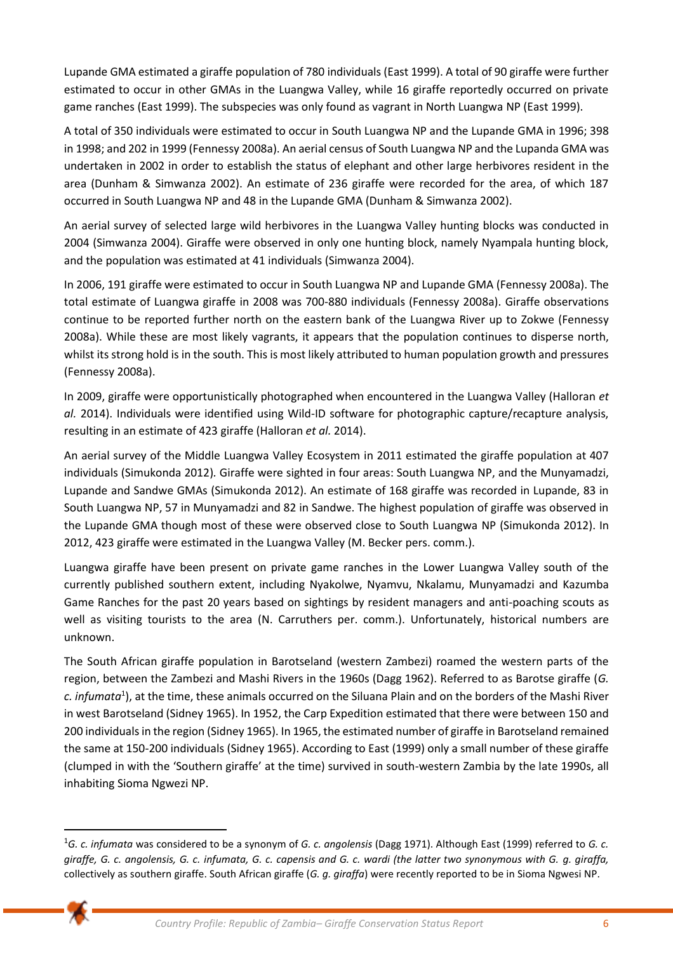Lupande GMA estimated a giraffe population of 780 individuals (East 1999). A total of 90 giraffe were further estimated to occur in other GMAs in the Luangwa Valley, while 16 giraffe reportedly occurred on private game ranches (East 1999). The subspecies was only found as vagrant in North Luangwa NP (East 1999).

A total of 350 individuals were estimated to occur in South Luangwa NP and the Lupande GMA in 1996; 398 in 1998; and 202 in 1999 (Fennessy 2008a). An aerial census of South Luangwa NP and the Lupanda GMA was undertaken in 2002 in order to establish the status of elephant and other large herbivores resident in the area (Dunham & Simwanza 2002). An estimate of 236 giraffe were recorded for the area, of which 187 occurred in South Luangwa NP and 48 in the Lupande GMA (Dunham & Simwanza 2002).

An aerial survey of selected large wild herbivores in the Luangwa Valley hunting blocks was conducted in 2004 (Simwanza 2004). Giraffe were observed in only one hunting block, namely Nyampala hunting block, and the population was estimated at 41 individuals (Simwanza 2004).

In 2006, 191 giraffe were estimated to occur in South Luangwa NP and Lupande GMA (Fennessy 2008a). The total estimate of Luangwa giraffe in 2008 was 700-880 individuals (Fennessy 2008a). Giraffe observations continue to be reported further north on the eastern bank of the Luangwa River up to Zokwe (Fennessy 2008a). While these are most likely vagrants, it appears that the population continues to disperse north, whilst its strong hold is in the south. This is most likely attributed to human population growth and pressures (Fennessy 2008a).

In 2009, giraffe were opportunistically photographed when encountered in the Luangwa Valley (Halloran *et al.* 2014). Individuals were identified using Wild-ID software for photographic capture/recapture analysis, resulting in an estimate of 423 giraffe (Halloran *et al.* 2014).

An aerial survey of the Middle Luangwa Valley Ecosystem in 2011 estimated the giraffe population at 407 individuals (Simukonda 2012)*.* Giraffe were sighted in four areas: South Luangwa NP, and the Munyamadzi, Lupande and Sandwe GMAs (Simukonda 2012). An estimate of 168 giraffe was recorded in Lupande, 83 in South Luangwa NP, 57 in Munyamadzi and 82 in Sandwe. The highest population of giraffe was observed in the Lupande GMA though most of these were observed close to South Luangwa NP (Simukonda 2012). In 2012, 423 giraffe were estimated in the Luangwa Valley (M. Becker pers. comm.).

Luangwa giraffe have been present on private game ranches in the Lower Luangwa Valley south of the currently published southern extent, including Nyakolwe, Nyamvu, Nkalamu, Munyamadzi and Kazumba Game Ranches for the past 20 years based on sightings by resident managers and anti-poaching scouts as well as visiting tourists to the area (N. Carruthers per. comm.). Unfortunately, historical numbers are unknown.

The South African giraffe population in Barotseland (western Zambezi) roamed the western parts of the region, between the Zambezi and Mashi Rivers in the 1960s (Dagg 1962). Referred to as Barotse giraffe (*G. c. infumata*<sup>1</sup> ), at the time, these animals occurred on the Siluana Plain and on the borders of the Mashi River in west Barotseland (Sidney 1965). In 1952, the Carp Expedition estimated that there were between 150 and 200 individuals in the region (Sidney 1965). In 1965, the estimated number of giraffe in Barotseland remained the same at 150-200 individuals (Sidney 1965). According to East (1999) only a small number of these giraffe (clumped in with the 'Southern giraffe' at the time) survived in south-western Zambia by the late 1990s, all inhabiting Sioma Ngwezi NP.

<sup>1</sup>*G. c. infumata* was considered to be a synonym of *G. c. angolensis* (Dagg 1971). Although East (1999) referred to *G. c. giraffe, G. c. angolensis, G. c. infumata, G. c. capensis and G. c. wardi (the latter two synonymous with G. g. giraffa,*  collectively as southern giraffe. South African giraffe (*G. g. giraffa*) were recently reported to be in Sioma Ngwesi NP.

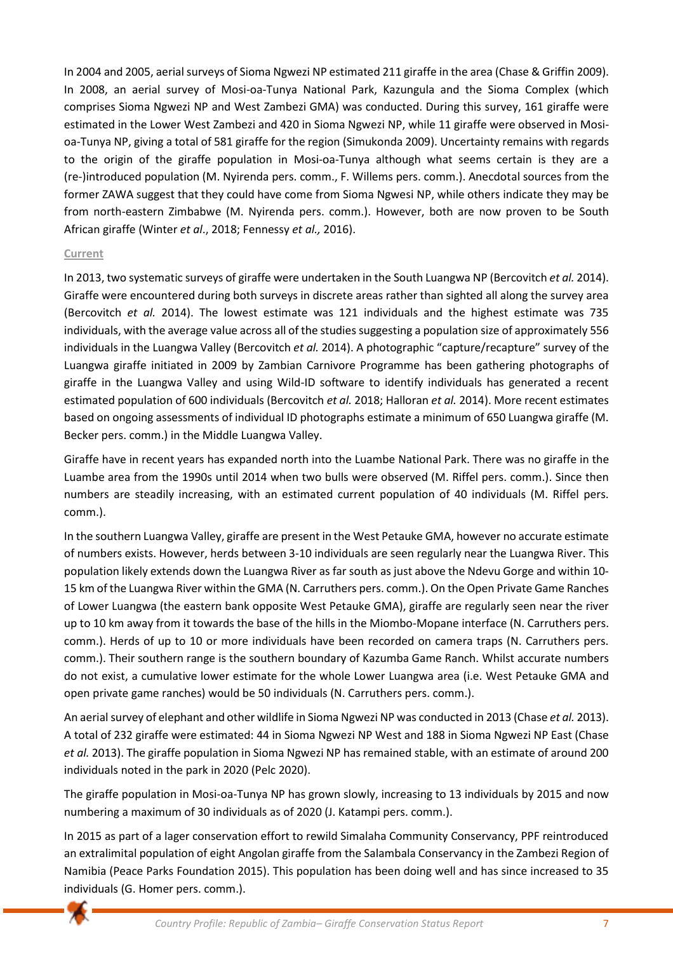In 2004 and 2005, aerial surveys of Sioma Ngwezi NP estimated 211 giraffe in the area (Chase & Griffin 2009). In 2008, an aerial survey of Mosi-oa-Tunya National Park, Kazungula and the Sioma Complex (which comprises Sioma Ngwezi NP and West Zambezi GMA) was conducted. During this survey, 161 giraffe were estimated in the Lower West Zambezi and 420 in Sioma Ngwezi NP, while 11 giraffe were observed in Mosioa-Tunya NP, giving a total of 581 giraffe for the region (Simukonda 2009). Uncertainty remains with regards to the origin of the giraffe population in Mosi-oa-Tunya although what seems certain is they are a (re-)introduced population (M. Nyirenda pers. comm., F. Willems pers. comm.). Anecdotal sources from the former ZAWA suggest that they could have come from Sioma Ngwesi NP, while others indicate they may be from north-eastern Zimbabwe (M. Nyirenda pers. comm.). However, both are now proven to be South African giraffe (Winter *et al*., 2018; Fennessy *et al.,* 2016).

#### **Current**

In 2013, two systematic surveys of giraffe were undertaken in the South Luangwa NP (Bercovitch *et al.* 2014). Giraffe were encountered during both surveys in discrete areas rather than sighted all along the survey area (Bercovitch *et al.* 2014). The lowest estimate was 121 individuals and the highest estimate was 735 individuals, with the average value across all of the studies suggesting a population size of approximately 556 individuals in the Luangwa Valley (Bercovitch *et al.* 2014). A photographic "capture/recapture" survey of the Luangwa giraffe initiated in 2009 by Zambian Carnivore Programme has been gathering photographs of giraffe in the Luangwa Valley and using Wild-ID software to identify individuals has generated a recent estimated population of 600 individuals (Bercovitch *et al.* 2018; Halloran *et al.* 2014). More recent estimates based on ongoing assessments of individual ID photographs estimate a minimum of 650 Luangwa giraffe (M. Becker pers. comm.) in the Middle Luangwa Valley.

Giraffe have in recent years has expanded north into the Luambe National Park. There was no giraffe in the Luambe area from the 1990s until 2014 when two bulls were observed (M. Riffel pers. comm.). Since then numbers are steadily increasing, with an estimated current population of 40 individuals (M. Riffel pers. comm.).

In the southern Luangwa Valley, giraffe are present in the West Petauke GMA, however no accurate estimate of numbers exists. However, herds between 3-10 individuals are seen regularly near the Luangwa River. This population likely extends down the Luangwa River as far south as just above the Ndevu Gorge and within 10- 15 km of the Luangwa River within the GMA (N. Carruthers pers. comm.). On the Open Private Game Ranches of Lower Luangwa (the eastern bank opposite West Petauke GMA), giraffe are regularly seen near the river up to 10 km away from it towards the base of the hills in the Miombo-Mopane interface (N. Carruthers pers. comm.). Herds of up to 10 or more individuals have been recorded on camera traps (N. Carruthers pers. comm.). Their southern range is the southern boundary of Kazumba Game Ranch. Whilst accurate numbers do not exist, a cumulative lower estimate for the whole Lower Luangwa area (i.e. West Petauke GMA and open private game ranches) would be 50 individuals (N. Carruthers pers. comm.).

An aerial survey of elephant and other wildlife in Sioma Ngwezi NP was conducted in 2013 (Chase *et al.* 2013). A total of 232 giraffe were estimated: 44 in Sioma Ngwezi NP West and 188 in Sioma Ngwezi NP East (Chase *et al.* 2013). The giraffe population in Sioma Ngwezi NP has remained stable, with an estimate of around 200 individuals noted in the park in 2020 (Pelc 2020).

The giraffe population in Mosi-oa-Tunya NP has grown slowly, increasing to 13 individuals by 2015 and now numbering a maximum of 30 individuals as of 2020 (J. Katampi pers. comm.).

In 2015 as part of a lager conservation effort to rewild Simalaha Community Conservancy, PPF reintroduced an extralimital population of eight Angolan giraffe from the Salambala Conservancy in the Zambezi Region of Namibia (Peace Parks Foundation 2015). This population has been doing well and has since increased to 35 individuals (G. Homer pers. comm.).

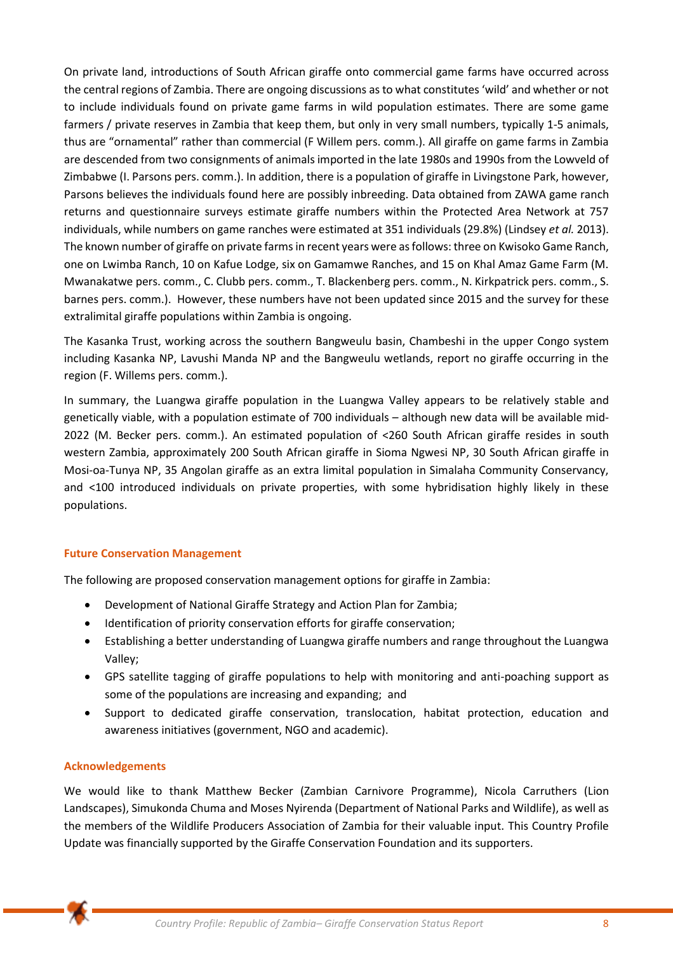On private land, introductions of South African giraffe onto commercial game farms have occurred across the central regions of Zambia. There are ongoing discussions as to what constitutes 'wild' and whether or not to include individuals found on private game farms in wild population estimates. There are some game farmers / private reserves in Zambia that keep them, but only in very small numbers, typically 1-5 animals, thus are "ornamental" rather than commercial (F Willem pers. comm.). All giraffe on game farms in Zambia are descended from two consignments of animals imported in the late 1980s and 1990s from the Lowveld of Zimbabwe (I. Parsons pers. comm.). In addition, there is a population of giraffe in Livingstone Park, however, Parsons believes the individuals found here are possibly inbreeding. Data obtained from ZAWA game ranch returns and questionnaire surveys estimate giraffe numbers within the Protected Area Network at 757 individuals, while numbers on game ranches were estimated at 351 individuals (29.8%) (Lindsey *et al.* 2013). The known number of giraffe on private farms in recent years were as follows: three on Kwisoko Game Ranch, one on Lwimba Ranch, 10 on Kafue Lodge, six on Gamamwe Ranches, and 15 on Khal Amaz Game Farm (M. Mwanakatwe pers. comm., C. Clubb pers. comm., T. Blackenberg pers. comm., N. Kirkpatrick pers. comm., S. barnes pers. comm.). However, these numbers have not been updated since 2015 and the survey for these extralimital giraffe populations within Zambia is ongoing.

The Kasanka Trust, working across the southern Bangweulu basin, Chambeshi in the upper Congo system including Kasanka NP, Lavushi Manda NP and the Bangweulu wetlands, report no giraffe occurring in the region (F. Willems pers. comm.).

In summary, the Luangwa giraffe population in the Luangwa Valley appears to be relatively stable and genetically viable, with a population estimate of 700 individuals – although new data will be available mid-2022 (M. Becker pers. comm.). An estimated population of <260 South African giraffe resides in south western Zambia, approximately 200 South African giraffe in Sioma Ngwesi NP, 30 South African giraffe in Mosi-oa-Tunya NP, 35 Angolan giraffe as an extra limital population in Simalaha Community Conservancy, and <100 introduced individuals on private properties, with some hybridisation highly likely in these populations.

# **Future Conservation Management**

The following are proposed conservation management options for giraffe in Zambia:

- Development of National Giraffe Strategy and Action Plan for Zambia;
- Identification of priority conservation efforts for giraffe conservation;
- Establishing a better understanding of Luangwa giraffe numbers and range throughout the Luangwa Valley;
- GPS satellite tagging of giraffe populations to help with monitoring and anti-poaching support as some of the populations are increasing and expanding; and
- Support to dedicated giraffe conservation, translocation, habitat protection, education and awareness initiatives (government, NGO and academic).

# **Acknowledgements**

We would like to thank Matthew Becker (Zambian Carnivore Programme), Nicola Carruthers (Lion Landscapes), Simukonda Chuma and Moses Nyirenda (Department of National Parks and Wildlife), as well as the members of the Wildlife Producers Association of Zambia for their valuable input. This Country Profile Update was financially supported by the Giraffe Conservation Foundation and its supporters.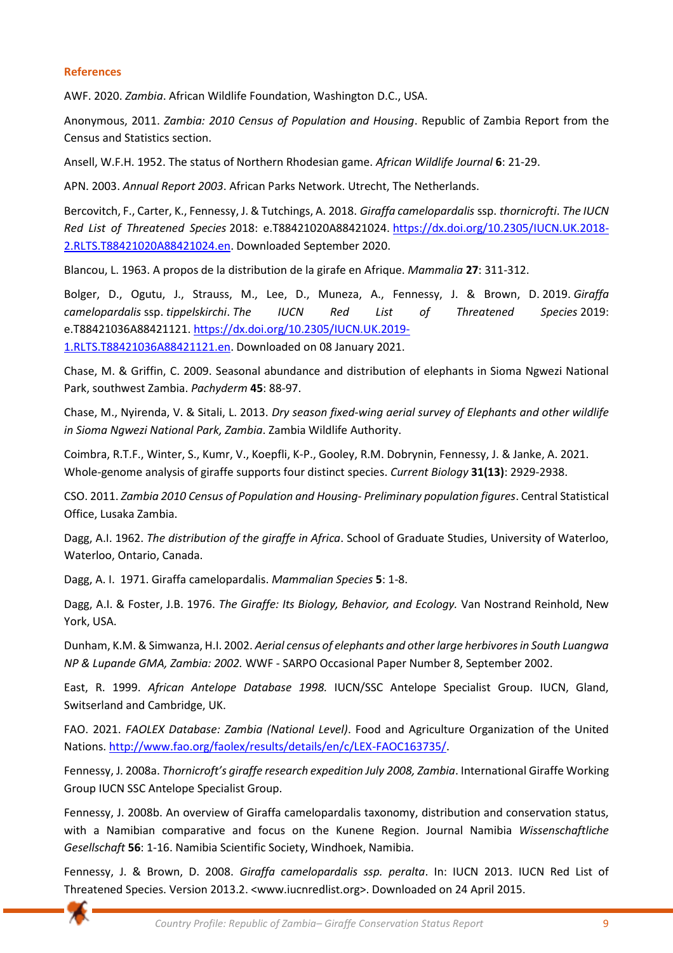#### **References**

AWF. 2020. *Zambia*. African Wildlife Foundation, Washington D.C., USA.

Anonymous, 2011. *Zambia: 2010 Census of Population and Housing*. Republic of Zambia Report from the Census and Statistics section.

Ansell, W.F.H. 1952. The status of Northern Rhodesian game. *African Wildlife Journal* **6**: 21-29.

APN. 2003. *Annual Report 2003*. African Parks Network. Utrecht, The Netherlands.

Bercovitch, F., Carter, K., Fennessy, J. & Tutchings, A. 2018. *Giraffa camelopardalis* ssp. *thornicrofti*. *The IUCN Red List of Threatened Species* 2018: e.T88421020A88421024. [https://dx.doi.org/10.2305/IUCN.UK.2018-](https://dx.doi.org/10.2305/IUCN.UK.2018-2.RLTS.T88421020A88421024.en) [2.RLTS.T88421020A88421024.en.](https://dx.doi.org/10.2305/IUCN.UK.2018-2.RLTS.T88421020A88421024.en) Downloaded September 2020.

Blancou, L. 1963. A propos de la distribution de la girafe en Afrique. *Mammalia* **27**: 311-312.

Bolger, D., Ogutu, J., Strauss, M., Lee, D., Muneza, A., Fennessy, J. & Brown, D. 2019. *Giraffa camelopardalis* ssp. *tippelskirchi*. *The IUCN Red List of Threatened Species* 2019: e.T88421036A88421121. [https://dx.doi.org/10.2305/IUCN.UK.2019-](https://dx.doi.org/10.2305/IUCN.UK.2019-1.RLTS.T88421036A88421121.en)

[1.RLTS.T88421036A88421121.en.](https://dx.doi.org/10.2305/IUCN.UK.2019-1.RLTS.T88421036A88421121.en) Downloaded on 08 January 2021.

Chase, M. & Griffin, C. 2009. Seasonal abundance and distribution of elephants in Sioma Ngwezi National Park, southwest Zambia. *Pachyderm* **45**: 88-97.

Chase, M., Nyirenda, V. & Sitali, L. 2013. *Dry season fixed-wing aerial survey of Elephants and other wildlife in Sioma Ngwezi National Park, Zambia*. Zambia Wildlife Authority.

Coimbra, R.T.F., Winter, S., Kumr, V., Koepfli, K-P., Gooley, R.M. Dobrynin, Fennessy, J. & Janke, A. 2021. Whole-genome analysis of giraffe supports four distinct species. *Current Biology* **31(13)**: 2929-2938.

CSO. 2011. *Zambia 2010 Census of Population and Housing- Preliminary population figures*. Central Statistical Office, Lusaka Zambia.

Dagg, A.I. 1962. *The distribution of the giraffe in Africa*. School of Graduate Studies, University of Waterloo, Waterloo, Ontario, Canada.

Dagg, A. I. 1971. Giraffa camelopardalis. *Mammalian Species* **5**: 1-8.

Dagg, A.I. & Foster, J.B. 1976. *The Giraffe: Its Biology, Behavior, and Ecology.* Van Nostrand Reinhold, New York, USA.

Dunham, K.M. & Simwanza, H.I. 2002. *Aerial census of elephants and other large herbivores in South Luangwa NP & Lupande GMA, Zambia: 2002.* WWF - SARPO Occasional Paper Number 8, September 2002.

East, R. 1999. *African Antelope Database 1998.* IUCN/SSC Antelope Specialist Group. IUCN, Gland, Switserland and Cambridge, UK.

FAO. 2021. *FAOLEX Database: Zambia (National Level)*. Food and Agriculture Organization of the United Nations. [http://www.fao.org/faolex/results/details/en/c/LEX-FAOC163735/.](http://www.fao.org/faolex/results/details/en/c/LEX-FAOC163735/)

Fennessy, J. 2008a. *Thornicroft's giraffe research expedition July 2008, Zambia*. International Giraffe Working Group IUCN SSC Antelope Specialist Group.

Fennessy, J. 2008b. An overview of Giraffa camelopardalis taxonomy, distribution and conservation status, with a Namibian comparative and focus on the Kunene Region. Journal Namibia *Wissenschaftliche Gesellschaft* **56**: 1-16. Namibia Scientific Society, Windhoek, Namibia.

Fennessy, J. & Brown, D. 2008. *Giraffa camelopardalis ssp. peralta*. In: IUCN 2013. IUCN Red List of Threatened Species. Version 2013.2. <www.iucnredlist.org>. Downloaded on 24 April 2015.

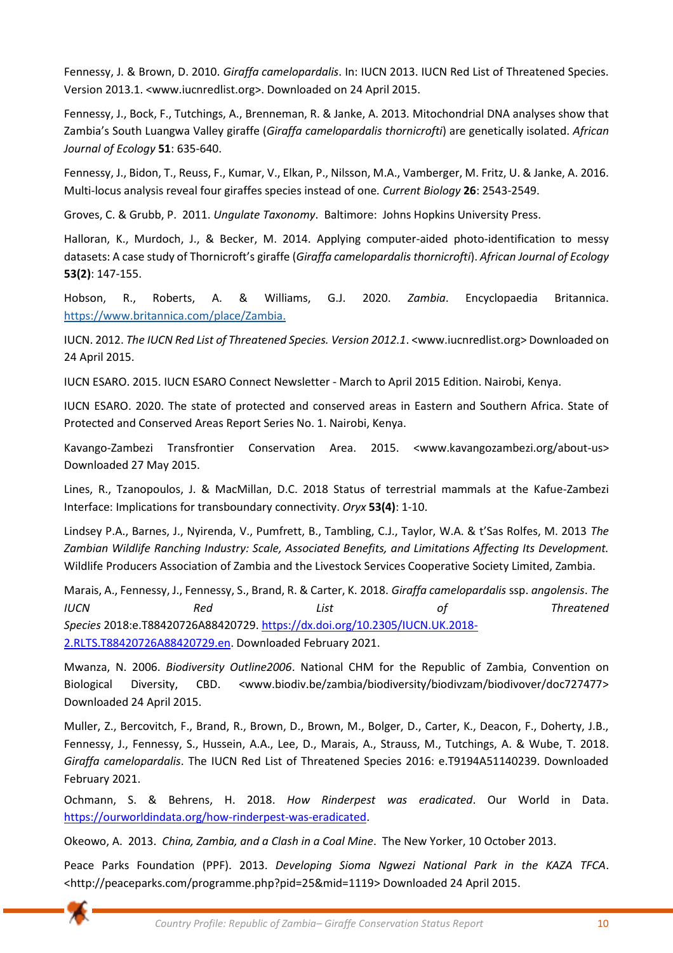Fennessy, J. & Brown, D. 2010. *Giraffa camelopardalis*. In: IUCN 2013. IUCN Red List of Threatened Species. Version 2013.1. <www.iucnredlist.org>. Downloaded on 24 April 2015.

Fennessy, J., Bock, F., Tutchings, A., Brenneman, R. & Janke, A. 2013*.* Mitochondrial DNA analyses show that Zambia's South Luangwa Valley giraffe (*Giraffa camelopardalis thornicrofti*) are genetically isolated. *African Journal of Ecology* **51**: 635-640.

Fennessy, J., Bidon, T., Reuss, F., Kumar, V., Elkan, P., Nilsson, M.A., Vamberger, M. Fritz, U. & Janke, A. 2016. Multi-locus analysis reveal four giraffes species instead of one*. Current Biology* **26**: 2543-2549.

Groves, C. & Grubb, P. 2011. *Ungulate Taxonomy*. Baltimore: Johns Hopkins University Press.

Halloran, K., Murdoch, J., & Becker, M. 2014. Applying computer-aided photo-identification to messy datasets: A case study of Thornicroft's giraffe (*Giraffa camelopardalis thornicrofti*). *African Journal of Ecology* **53(2)**: 147-155.

Hobson, R., Roberts, A. & Williams, G.J. 2020. *Zambia*. Encyclopaedia Britannica. [https://www.britannica.com/place/Zambia.](https://www.britannica.com/place/Zambia)

IUCN. 2012. *The IUCN Red List of Threatened Species. Version 2012.1*. <www.iucnredlist.org> Downloaded on 24 April 2015.

IUCN ESARO. 2015. IUCN ESARO Connect Newsletter - March to April 2015 Edition. Nairobi, Kenya.

IUCN ESARO. 2020. The state of protected and conserved areas in Eastern and Southern Africa. State of Protected and Conserved Areas Report Series No. 1. Nairobi, Kenya.

Kavango-Zambezi Transfrontier Conservation Area. 2015. <www.kavangozambezi.org/about-us> Downloaded 27 May 2015.

Lines, R., Tzanopoulos, J. & MacMillan, D.C. 2018 Status of terrestrial mammals at the Kafue-Zambezi Interface: Implications for transboundary connectivity. *Oryx* **53(4)**: 1-10.

Lindsey P.A., Barnes, J., Nyirenda, V., Pumfrett, B., Tambling, C.J., Taylor, W.A. & t'Sas Rolfes, M. 2013 *The Zambian Wildlife Ranching Industry: Scale, Associated Benefits, and Limitations Affecting Its Development.* Wildlife Producers Association of Zambia and the Livestock Services Cooperative Society Limited, Zambia.

Marais, A., Fennessy, J., Fennessy, S., Brand, R. & Carter, K. 2018. *Giraffa camelopardalis* ssp. *angolensis*. *The IUCN Red List of Threatened Species* 2018:e.T88420726A88420729. [https://dx.doi.org/10.2305/IUCN.UK.2018-](https://dx.doi.org/10.2305/IUCN.UK.2018-2.RLTS.T88420726A88420729.en) [2.RLTS.T88420726A88420729.en.](https://dx.doi.org/10.2305/IUCN.UK.2018-2.RLTS.T88420726A88420729.en) Downloaded February 2021.

Mwanza, N. 2006. *Biodiversity Outline2006*. National CHM for the Republic of Zambia, Convention on Biological Diversity, CBD. <www.biodiv.be/zambia/biodiversity/biodivzam/biodivover/doc727477> Downloaded 24 April 2015.

Muller, Z., Bercovitch, F., Brand, R., Brown, D., Brown, M., Bolger, D., Carter, K., Deacon, F., Doherty, J.B., Fennessy, J., Fennessy, S., Hussein, A.A., Lee, D., Marais, A., Strauss, M., Tutchings, A. & Wube, T. 2018. *Giraffa camelopardalis*. The IUCN Red List of Threatened Species 2016: e.T9194A51140239. Downloaded February 2021.

Ochmann, S. & Behrens, H. 2018. *How Rinderpest was eradicated*. Our World in Data. [https://ourworldindata.org/how-rinderpest-was-eradicated.](https://ourworldindata.org/how-rinderpest-was-eradicated)

Okeowo, A. 2013. *China, Zambia, and a Clash in a Coal Mine*. The New Yorker, 10 October 2013.

Peace Parks Foundation (PPF). 2013. *Developing Sioma Ngwezi National Park in the KAZA TFCA*. <http://peaceparks.com/programme.php?pid=25&mid=1119> Downloaded 24 April 2015.

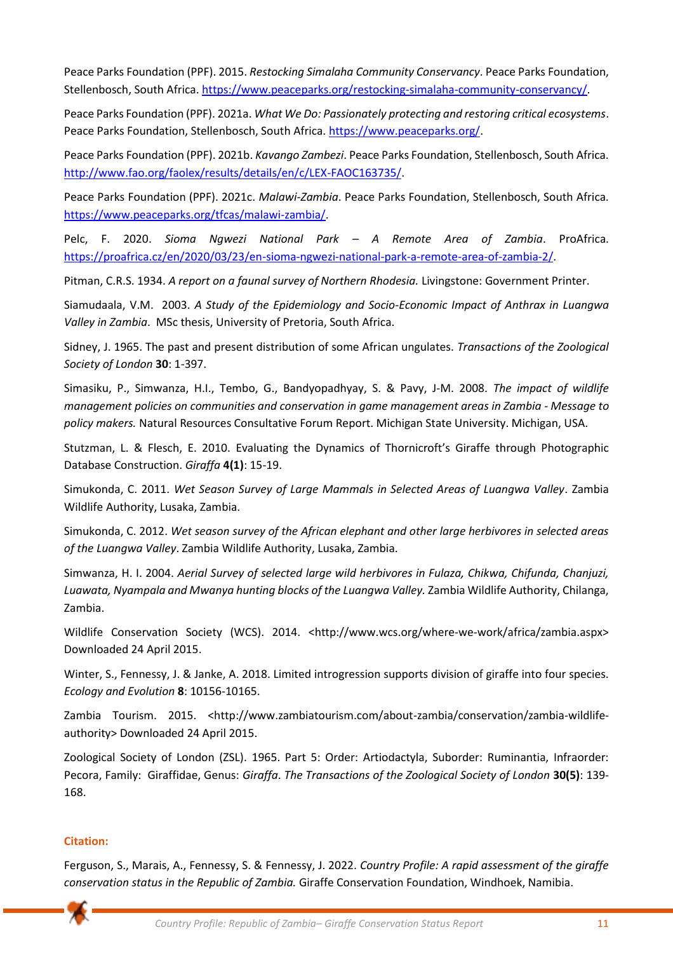Peace Parks Foundation (PPF). 2015. *Restocking Simalaha Community Conservancy*. Peace Parks Foundation, Stellenbosch, South Africa[. https://www.peaceparks.org/restocking-simalaha-community-conservancy/.](https://www.peaceparks.org/restocking-simalaha-community-conservancy/)

Peace Parks Foundation (PPF). 2021a. *What We Do: Passionately protecting and restoring critical ecosystems*. Peace Parks Foundation, Stellenbosch, South Africa[. https://www.peaceparks.org/.](https://www.peaceparks.org/)

Peace Parks Foundation (PPF). 2021b. *Kavango Zambezi*. Peace Parks Foundation, Stellenbosch, South Africa. [http://www.fao.org/faolex/results/details/en/c/LEX-FAOC163735/.](http://www.fao.org/faolex/results/details/en/c/LEX-FAOC163735/)

Peace Parks Foundation (PPF). 2021c. *Malawi-Zambia*. Peace Parks Foundation, Stellenbosch, South Africa. [https://www.peaceparks.org/tfcas/malawi-zambia/.](https://www.peaceparks.org/tfcas/malawi-zambia/)

Pelc, F. 2020. *Sioma Ngwezi National Park – A Remote Area of Zambia*. ProAfrica. [https://proafrica.cz/en/2020/03/23/en-sioma-ngwezi-national-park-a-remote-area-of-zambia-2/.](https://proafrica.cz/en/2020/03/23/en-sioma-ngwezi-national-park-a-remote-area-of-zambia-2/)

Pitman, C.R.S. 1934. *A report on a faunal survey of Northern Rhodesia.* Livingstone: Government Printer.

Siamudaala, V.M. 2003. *A Study of the Epidemiology and Socio-Economic Impact of Anthrax in Luangwa Valley in Zambia*. MSc thesis, University of Pretoria, South Africa.

Sidney, J. 1965. The past and present distribution of some African ungulates. *Transactions of the Zoological Society of London* **30**: 1-397.

Simasiku, P., Simwanza, H.I., Tembo, G., Bandyopadhyay, S. & Pavy, J-M. 2008. *The impact of wildlife management policies on communities and conservation in game management areas in Zambia - Message to policy makers.* Natural Resources Consultative Forum Report. Michigan State University. Michigan, USA.

Stutzman, L. & Flesch, E. 2010. Evaluating the Dynamics of Thornicroft's Giraffe through Photographic Database Construction. *Giraffa* **4(1)**: 15-19.

Simukonda, C. 2011. *Wet Season Survey of Large Mammals in Selected Areas of Luangwa Valley*. Zambia Wildlife Authority, Lusaka, Zambia.

Simukonda, C. 2012. *Wet season survey of the African elephant and other large herbivores in selected areas of the Luangwa Valley*. Zambia Wildlife Authority, Lusaka, Zambia.

Simwanza, H. I. 2004. *Aerial Survey of selected large wild herbivores in Fulaza, Chikwa, Chifunda, Chanjuzi, Luawata, Nyampala and Mwanya hunting blocks of the Luangwa Valley.* Zambia Wildlife Authority, Chilanga, Zambia.

Wildlife Conservation Society (WCS). 2014. <http://www.wcs.org/where-we-work/africa/zambia.aspx> Downloaded 24 April 2015.

Winter, S., Fennessy, J. & Janke, A. 2018. Limited introgression supports division of giraffe into four species. *Ecology and Evolution* **8**: 10156-10165.

Zambia Tourism. 2015. <http://www.zambiatourism.com/about-zambia/conservation/zambia-wildlifeauthority> Downloaded 24 April 2015.

Zoological Society of London (ZSL). 1965. Part 5: Order: Artiodactyla, Suborder: Ruminantia, Infraorder: Pecora, Family: Giraffidae, Genus: *Giraffa*. *The Transactions of the Zoological Society of London* **30(5)**: 139- 168.

# **Citation:**

Ferguson, S., Marais, A., Fennessy, S. & Fennessy, J. 2022. *Country Profile: A rapid assessment of the giraffe conservation status in the Republic of Zambia.* Giraffe Conservation Foundation, Windhoek, Namibia.